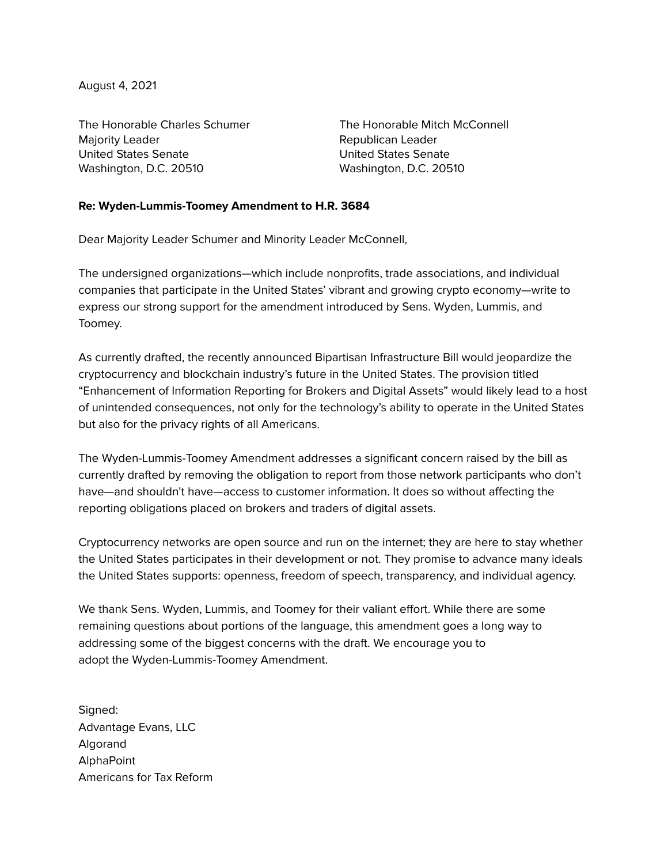August 4, 2021

The Honorable Charles Schumer Majority Leader United States Senate Washington, D.C. 20510

The Honorable Mitch McConnell Republican Leader United States Senate Washington, D.C. 20510

## **Re: Wyden-Lummis-Toomey Amendment to H.R. 3684**

Dear Majority Leader Schumer and Minority Leader McConnell,

The undersigned organizations—which include nonprofits, trade associations, and individual companies that participate in the United States' vibrant and growing crypto economy—write to express our strong support for the amendment introduced by Sens. Wyden, Lummis, and Toomey.

As currently drafted, the recently announced Bipartisan Infrastructure Bill would jeopardize the cryptocurrency and blockchain industry's future in the United States. The provision titled "Enhancement of Information Reporting for Brokers and Digital Assets" would likely lead to a host of unintended consequences, not only for the technology's ability to operate in the United States but also for the privacy rights of all Americans.

The Wyden-Lummis-Toomey Amendment addresses a significant concern raised by the bill as currently drafted by removing the obligation to report from those network participants who don't have—and shouldn't have—access to customer information. It does so without affecting the reporting obligations placed on brokers and traders of digital assets.

Cryptocurrency networks are open source and run on the internet; they are here to stay whether the United States participates in their development or not. They promise to advance many ideals the United States supports: openness, freedom of speech, transparency, and individual agency.

We thank Sens. Wyden, Lummis, and Toomey for their valiant effort. While there are some remaining questions about portions of the language, this amendment goes a long way to addressing some of the biggest concerns with the draft. We encourage you to adopt the Wyden-Lummis-Toomey Amendment.

Signed: Advantage Evans, LLC Algorand AlphaPoint Americans for Tax Reform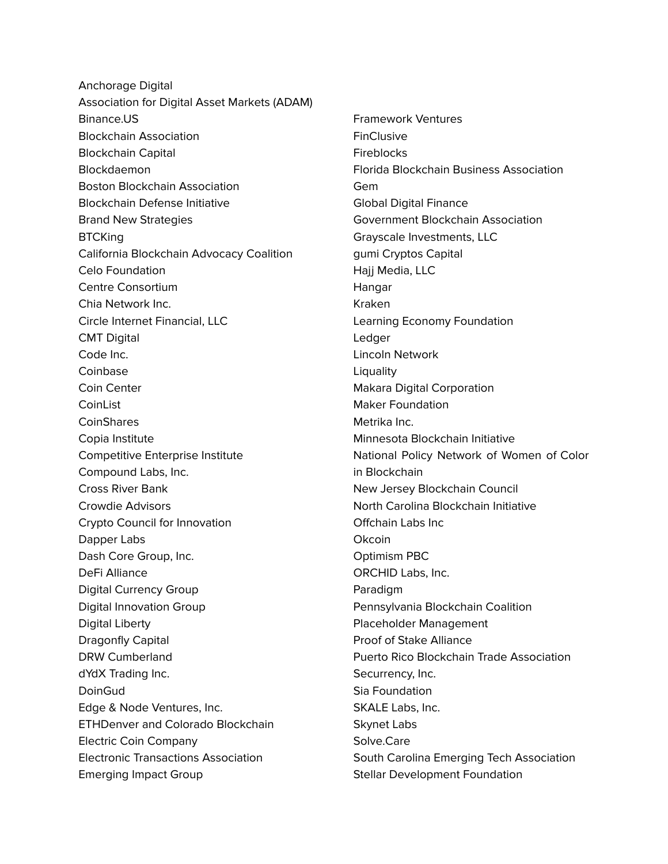Anchorage Digital Association for Digital Asset Markets (ADAM) Binance.US Blockchain Association Blockchain Capital **Blockdaemon** Boston Blockchain Association Blockchain Defense Initiative Brand New Strategies **BTCKing** California Blockchain Advocacy Coalition Celo Foundation Centre Consortium Chia Network Inc. Circle Internet Financial, LLC CMT Digital Code Inc. Coinbase Coin Center **CoinList CoinShares** Copia Institute Competitive Enterprise Institute Compound Labs, Inc. Cross River Bank Crowdie Advisors Crypto Council for Innovation Dapper Labs Dash Core Group, Inc. DeFi Alliance Digital Currency Group Digital Innovation Group Digital Liberty Dragonfly Capital DRW Cumberland dYdX Trading Inc. DoinGud Edge & Node Ventures, Inc. ETHDenver and Colorado Blockchain Electric Coin Company Electronic Transactions Association Emerging Impact Group

Framework Ventures **FinClusive Fireblocks** Florida Blockchain Business Association Gem Global Digital Finance Government Blockchain Association Grayscale Investments, LLC gumi Cryptos Capital Hajj Media, LLC Hangar Kraken Learning Economy Foundation Ledger Lincoln Network **Liquality** Makara Digital Corporation Maker Foundation Metrika Inc. Minnesota Blockchain Initiative National Policy Network of Women of Color in Blockchain New Jersey Blockchain Council North Carolina Blockchain Initiative Offchain Labs Inc **Okcoin** Optimism PBC ORCHID Labs, Inc. Paradigm Pennsylvania Blockchain Coalition Placeholder Management Proof of Stake Alliance Puerto Rico Blockchain Trade Association Securrency, Inc. Sia Foundation SKALE Labs, Inc. Skynet Labs Solve.Care South Carolina Emerging Tech Association Stellar Development Foundation